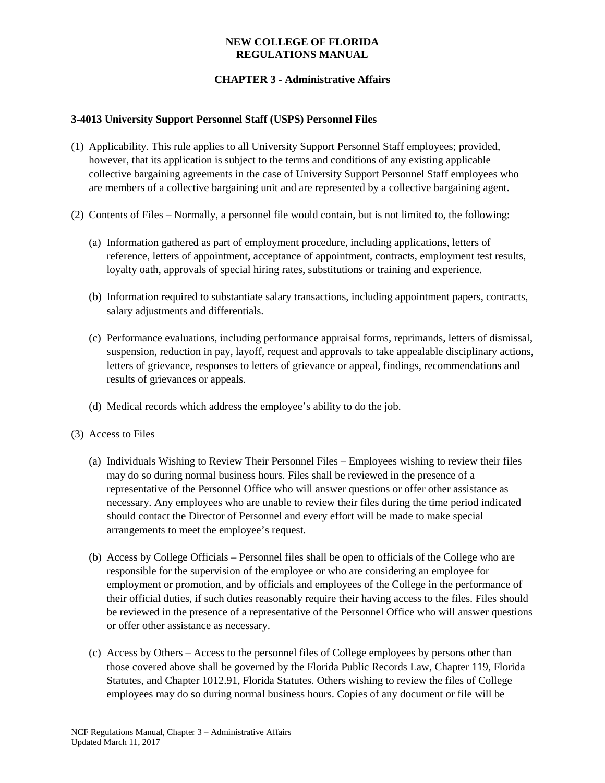## **NEW COLLEGE OF FLORIDA REGULATIONS MANUAL**

# **CHAPTER 3 - Administrative Affairs**

## **3-4013 University Support Personnel Staff (USPS) Personnel Files**

- (1) Applicability. This rule applies to all University Support Personnel Staff employees; provided, however, that its application is subject to the terms and conditions of any existing applicable collective bargaining agreements in the case of University Support Personnel Staff employees who are members of a collective bargaining unit and are represented by a collective bargaining agent.
- (2) Contents of Files Normally, a personnel file would contain, but is not limited to, the following:
	- (a) Information gathered as part of employment procedure, including applications, letters of reference, letters of appointment, acceptance of appointment, contracts, employment test results, loyalty oath, approvals of special hiring rates, substitutions or training and experience.
	- (b) Information required to substantiate salary transactions, including appointment papers, contracts, salary adjustments and differentials.
	- (c) Performance evaluations, including performance appraisal forms, reprimands, letters of dismissal, suspension, reduction in pay, layoff, request and approvals to take appealable disciplinary actions, letters of grievance, responses to letters of grievance or appeal, findings, recommendations and results of grievances or appeals.
	- (d) Medical records which address the employee's ability to do the job.
- (3) Access to Files
	- (a) Individuals Wishing to Review Their Personnel Files Employees wishing to review their files may do so during normal business hours. Files shall be reviewed in the presence of a representative of the Personnel Office who will answer questions or offer other assistance as necessary. Any employees who are unable to review their files during the time period indicated should contact the Director of Personnel and every effort will be made to make special arrangements to meet the employee's request.
	- (b) Access by College Officials Personnel files shall be open to officials of the College who are responsible for the supervision of the employee or who are considering an employee for employment or promotion, and by officials and employees of the College in the performance of their official duties, if such duties reasonably require their having access to the files. Files should be reviewed in the presence of a representative of the Personnel Office who will answer questions or offer other assistance as necessary.
	- (c) Access by Others Access to the personnel files of College employees by persons other than those covered above shall be governed by the Florida Public Records Law, Chapter 119, Florida Statutes, and Chapter 1012.91, Florida Statutes. Others wishing to review the files of College employees may do so during normal business hours. Copies of any document or file will be